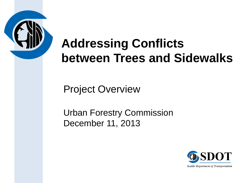

## **Addressing Conflicts between Trees and Sidewalks**

Project Overview

Urban Forestry Commission December 11, 2013

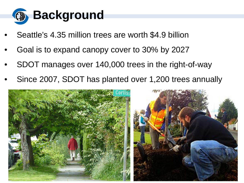

- Seattle's 4.35 million trees are worth \$4.9 billion
- Goal is to expand canopy cover to 30% by 2027
- SDOT manages over 140,000 trees in the right-of-way
- Since 2007, SDOT has planted over 1,200 trees annually

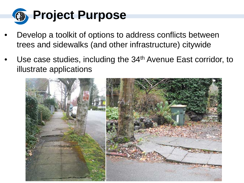

- Develop a toolkit of options to address conflicts between trees and sidewalks (and other infrastructure) citywide
- Use case studies, including the 34<sup>th</sup> Avenue East corridor, to illustrate applications

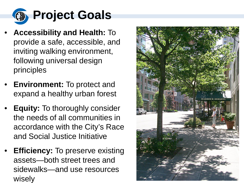

- **Accessibility and Health:** To provide a safe, accessible, and inviting walking environment, following universal design principles
- **Environment:** To protect and expand a healthy urban forest
- **Equity:** To thoroughly consider the needs of all communities in accordance with the City's Race and Social Justice Initiative
- **Efficiency:** To preserve existing assets—both street trees and sidewalks—and use resources wisely

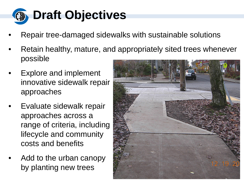

- Repair tree-damaged sidewalks with sustainable solutions
- Retain healthy, mature, and appropriately sited trees whenever possible
- Explore and implement innovative sidewalk repair approaches
- Evaluate sidewalk repair approaches across a range of criteria, including lifecycle and community costs and benefits
- Add to the urban canopy by planting new trees

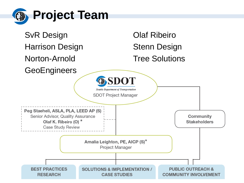

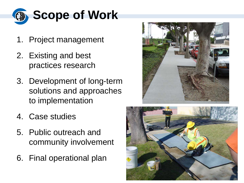

- 1. Project management
- 2. Existing and best practices research
- 3. Development of long-term solutions and approaches to implementation
- 4. Case studies
- 5. Public outreach and community involvement
- 6. Final operational plan



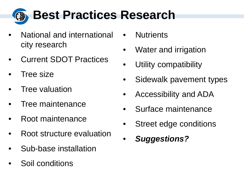

- National and international city research
- Current SDOT Practices
- **Tree size**
- **Tree valuation**
- Tree maintenance
- Root maintenance
- Root structure evaluation
- Sub-base installation
- Soil conditions
- **Nutrients**
- Water and irrigation
- Utility compatibility
- Sidewalk pavement types
- Accessibility and ADA
- Surface maintenance
- Street edge conditions
- *Suggestions?*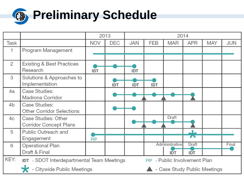

|                |                                                                                              | 2013       |            | 2014       |                              |                |            |            |            |
|----------------|----------------------------------------------------------------------------------------------|------------|------------|------------|------------------------------|----------------|------------|------------|------------|
| Task           |                                                                                              | <b>NOV</b> | <b>DEC</b> | <b>JAN</b> | <b>FEB</b>                   | <b>MAR</b>     | <b>APR</b> | <b>MAY</b> | <b>JUN</b> |
| 1              | Program Management                                                                           |            |            |            |                              |                |            |            |            |
|                |                                                                                              |            |            |            |                              |                |            |            |            |
| $\overline{2}$ | <b>Existing &amp; Best Practices</b>                                                         |            |            |            |                              |                |            |            |            |
|                | Research                                                                                     | IDT        |            | IDT        |                              |                |            |            |            |
| 3              | Solutions & Approaches to                                                                    |            |            |            |                              |                |            |            |            |
|                | Implementation                                                                               |            | <b>IDT</b> | IDT        | IDT                          |                |            |            |            |
| 4a             | Case Studies:                                                                                |            |            |            |                              |                |            |            |            |
|                | Madrona Corridor                                                                             |            |            |            |                              |                |            |            |            |
| 4 <sub>b</sub> | Case Studies:                                                                                |            |            |            |                              |                |            |            |            |
|                | <b>Other Corridor Selections</b>                                                             |            |            |            |                              |                |            |            |            |
| 4 <sub>c</sub> | Case Studies: Other                                                                          |            |            |            |                              | Draft          |            |            |            |
|                | <b>Corridor Concept Plans</b>                                                                |            |            |            |                              |                |            |            |            |
| 5              | Public Outreach and                                                                          |            |            |            |                              |                |            |            |            |
|                | Engagement                                                                                   | PIP        |            |            |                              |                |            |            |            |
| 6              | <b>Operational Plan</b>                                                                      |            |            |            |                              | Administrative | Draft      |            | Final      |
|                | Draft & Final                                                                                |            |            |            |                              | IDT            | <b>IDT</b> |            |            |
| KEY:           | <b>IDT</b> - SDOT Interdepartmental Team Meetings<br>- Public Involvement Plan<br><b>PIP</b> |            |            |            |                              |                |            |            |            |
|                | - Citywide Public Meetings                                                                   |            |            |            | - Case Study Public Meetings |                |            |            |            |